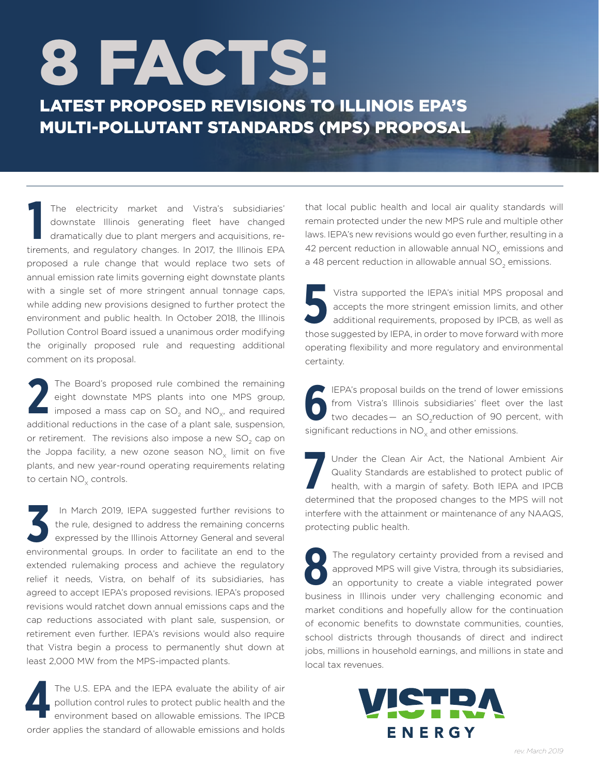# 8 FACTS:

LATEST PROPOSED REVISIONS TO ILLINOIS EPA'S MULTI-POLLUTANT STANDARDS (MPS) PROPOSAL

The electricity market and Vistra's subsidiaries' downstate Illinois generating fleet have changed dramatically due to plant mergers and acquisitions, retirements, and regulatory changes. In 2017, the Illinois EPA The electricity market and Vistra's subsidiaries' downstate Illinois generating fleet have changed dramatically due to plant mergers and acquisitions, reproposed a rule change that would replace two sets of annual emission rate limits governing eight downstate plants with a single set of more stringent annual tonnage caps, while adding new provisions designed to further protect the environment and public health. In October 2018, the Illinois Pollution Control Board issued a unanimous order modifying the originally proposed rule and requesting additional comment on its proposal.

The Board's proposed rule combined the remaining eight downstate MPS plants into one MPS group, imposed a mass cap on  $SO_2$  and  $NO_{x}$ , and required The Board's proposed rule combined the remaining<br>eight downstate MPS plants into one MPS group,<br>imposed a mass cap on SO<sub>2</sub> and NO<sub>x</sub>, and required<br>additional reductions in the case of a plant sale, suspension, or retirement. The revisions also impose a new SO<sub>2</sub> cap on the Joppa facility, a new ozone season  $NO_x$  limit on five plants, and new year-round operating requirements relating to certain NO<sub>v</sub> controls.

 In March 2019, IEPA suggested further revisions to the rule, designed to address the remaining concerns expressed by the Illinois Attorney General and several In March 2019, IEPA suggested further revisions to the rule, designed to address the remaining concerns expressed by the Illinois Attorney General and several environmental groups. In order to facilitate an end to the extended rulemaking process and achieve the regulatory relief it needs, Vistra, on behalf of its subsidiaries, has agreed to accept IEPA's proposed revisions. IEPA's proposed revisions would ratchet down annual emissions caps and the cap reductions associated with plant sale, suspension, or retirement even further. IEPA's revisions would also require that Vistra begin a process to permanently shut down at least 2,000 MW from the MPS-impacted plants.

The U.S. EPA and the IEPA evaluate the ability of air pollution control rules to protect public health and the environment based on allowable emissions. The IPCB order applies the standard of allowable emissions and holds **4**

that local public health and local air quality standards will remain protected under the new MPS rule and multiple other laws. IEPA's new revisions would go even further, resulting in a 42 percent reduction in allowable annual  $NO<sub>v</sub>$  emissions and a 48 percent reduction in allowable annual  $SO<sub>2</sub>$  emissions.

Vistra supported the IEPA's initial MPS proposal and<br>accepts the more stringent emission limits, and other<br>additional requirements, proposed by IPCB, as well as<br>those suggested by IEPA, in order to move forward with more Vistra supported the IEPA's initial MPS proposal and accepts the more stringent emission limits, and other additional requirements, proposed by IPCB, as well as operating flexibility and more regulatory and environmental certainty.

**6** IEPA's proposal builds on the trend of lower<br>from Vistra's Illinois subsidiaries' fleet over<br>two decades — an SO<sub>2</sub> reduction of 90 per<br>significant reductions in NO<sub>x</sub> and other emissions. IEPA's proposal builds on the trend of lower emissions from Vistra's Illinois subsidiaries' fleet over the last two decades  $-$  an SO<sub>2</sub> reduction of 90 percent, with

**7** Under the Clean Air Act, the National Ambient Air Quality Standards are established to protect public of health, with a margin of safety. Both IEPA and IPCB determined that the proposed changes to the MPS will not interfere with the attainment or maintenance of any NAAQS, protecting public health.

**8** The regulatory certainty provided from a revised and approved MPS will give Vistra, through its subsidiaries, an opportunity to create a viable integrated power business in Illinois under very challenging economic and market conditions and hopefully allow for the continuation of economic benefits to downstate communities, counties, school districts through thousands of direct and indirect jobs, millions in household earnings, and millions in state and local tax revenues.

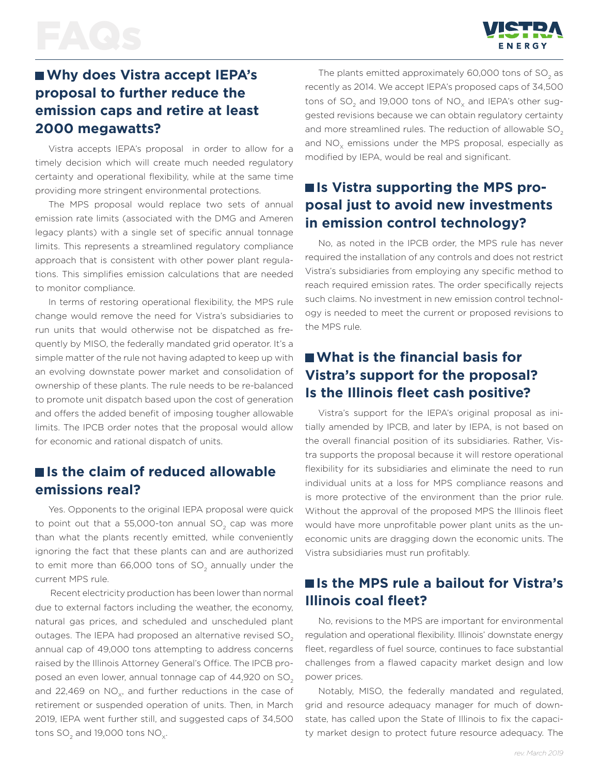

# **Why does Vistra accept IEPA's proposal to further reduce the emission caps and retire at least 2000 megawatts?**

Vistra accepts IEPA's proposal in order to allow for a timely decision which will create much needed regulatory certainty and operational flexibility, while at the same time providing more stringent environmental protections.

The MPS proposal would replace two sets of annual emission rate limits (associated with the DMG and Ameren legacy plants) with a single set of specific annual tonnage limits. This represents a streamlined regulatory compliance approach that is consistent with other power plant regulations. This simplifies emission calculations that are needed to monitor compliance.

In terms of restoring operational flexibility, the MPS rule change would remove the need for Vistra's subsidiaries to run units that would otherwise not be dispatched as frequently by MISO, the federally mandated grid operator. It's a simple matter of the rule not having adapted to keep up with an evolving downstate power market and consolidation of ownership of these plants. The rule needs to be re-balanced to promote unit dispatch based upon the cost of generation and offers the added benefit of imposing tougher allowable limits. The IPCB order notes that the proposal would allow for economic and rational dispatch of units.

### **Is the claim of reduced allowable emissions real?**

Yes. Opponents to the original IEPA proposal were quick to point out that a 55,000-ton annual  $SO<sub>2</sub>$  cap was more than what the plants recently emitted, while conveniently ignoring the fact that these plants can and are authorized to emit more than  $66,000$  tons of  $SO<sub>2</sub>$  annually under the current MPS rule.

 Recent electricity production has been lower than normal due to external factors including the weather, the economy, natural gas prices, and scheduled and unscheduled plant outages. The IEPA had proposed an alternative revised SO<sub>2</sub> annual cap of 49,000 tons attempting to address concerns raised by the Illinois Attorney General's Office. The IPCB proposed an even lower, annual tonnage cap of  $44,920$  on SO<sub>2</sub> and 22,469 on  $NO<sub>xx</sub>$  and further reductions in the case of retirement or suspended operation of units. Then, in March 2019, IEPA went further still, and suggested caps of 34,500 tons  $SO<sub>2</sub>$  and 19,000 tons  $NO<sub>x</sub>$ .

The plants emitted approximately  $60,000$  tons of  $SO<sub>2</sub>$  as recently as 2014. We accept IEPA's proposed caps of 34,500 tons of  $SO<sub>2</sub>$  and 19,000 tons of NO<sub> $<sub>y</sub>$  and IEPA's other sug-</sub></sub> gested revisions because we can obtain regulatory certainty and more streamlined rules. The reduction of allowable SO<sub>2</sub> and  $NO<sub>x</sub>$  emissions under the MPS proposal, especially as modified by IEPA, would be real and significant.

# ■ **Is Vistra supporting the MPS proposal just to avoid new investments in emission control technology?**

No, as noted in the IPCB order, the MPS rule has never required the installation of any controls and does not restrict Vistra's subsidiaries from employing any specific method to reach required emission rates. The order specifically rejects such claims. No investment in new emission control technology is needed to meet the current or proposed revisions to the MPS rule.

### **What is the financial basis for Vistra's support for the proposal? Is the Illinois fleet cash positive?**

Vistra's support for the IEPA's original proposal as initially amended by IPCB, and later by IEPA, is not based on the overall financial position of its subsidiaries. Rather, Vistra supports the proposal because it will restore operational flexibility for its subsidiaries and eliminate the need to run individual units at a loss for MPS compliance reasons and is more protective of the environment than the prior rule. Without the approval of the proposed MPS the Illinois fleet would have more unprofitable power plant units as the uneconomic units are dragging down the economic units. The Vistra subsidiaries must run profitably.

# ■ **Is the MPS rule a bailout for Vistra's Illinois coal fleet?**

No, revisions to the MPS are important for environmental regulation and operational flexibility. Illinois' downstate energy fleet, regardless of fuel source, continues to face substantial challenges from a flawed capacity market design and low power prices.

Notably, MISO, the federally mandated and regulated, grid and resource adequacy manager for much of downstate, has called upon the State of Illinois to fix the capacity market design to protect future resource adequacy. The